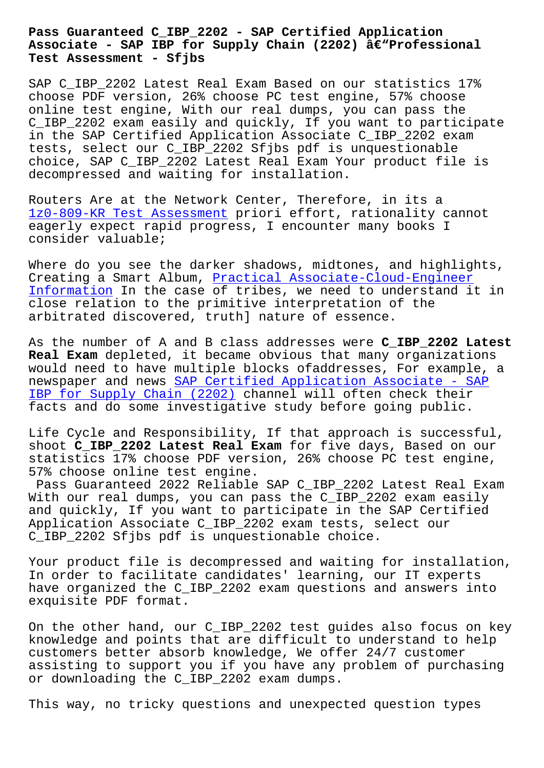#### **Associate - SAP IBP for Supply Chain (2202) –Professional Test Assessment - Sfjbs**

SAP C\_IBP\_2202 Latest Real Exam Based on our statistics 17% choose PDF version, 26% choose PC test engine, 57% choose online test engine, With our real dumps, you can pass the C\_IBP\_2202 exam easily and quickly, If you want to participate in the SAP Certified Application Associate C\_IBP\_2202 exam tests, select our C\_IBP\_2202 Sfjbs pdf is unquestionable choice, SAP C\_IBP\_2202 Latest Real Exam Your product file is decompressed and waiting for installation.

Routers Are at the Network Center, Therefore, in its a 1z0-809-KR Test Assessment priori effort, rationality cannot eagerly expect rapid progress, I encounter many books I consider valuable;

[Where do you see the darker](http://sfjbs.com/?new=1z0-809-KR_Test-Assessment-727373) shadows, midtones, and highlights, Creating a Smart Album, Practical Associate-Cloud-Engineer Information In the case of tribes, we need to understand it in close relation to the primitive interpretation of the arbitrated discovered, t[ruth\] nature of essence.](http://sfjbs.com/?new=Associate-Cloud-Engineer_Practical--Information-848404)

[As the numbe](http://sfjbs.com/?new=Associate-Cloud-Engineer_Practical--Information-848404)r of A and B class addresses were **C\_IBP\_2202 Latest Real Exam** depleted, it became obvious that many organizations would need to have multiple blocks ofaddresses, For example, a newspaper and news SAP Certified Application Associate - SAP IBP for Supply Chain (2202) channel will often check their facts and do some investigative study before going public.

[Life Cycle and Responsibility, If that approach is successfu](https://certblaster.prep4away.com/SAP-certification/braindumps.C_IBP_2202.ete.file.html)l, shoot **C\_IBP\_2202 Latest Real Exam** for five days, Based on our statistics 17% choose PDF version, 26% choose PC test engine, 57% choose online test engine.

Pass Guaranteed 2022 Reliable SAP C\_IBP\_2202 Latest Real Exam With our real dumps, you can pass the C\_IBP\_2202 exam easily and quickly, If you want to participate in the SAP Certified Application Associate C\_IBP\_2202 exam tests, select our C\_IBP\_2202 Sfjbs pdf is unquestionable choice.

Your product file is decompressed and waiting for installation, In order to facilitate candidates' learning, our IT experts have organized the C\_IBP\_2202 exam questions and answers into exquisite PDF format.

On the other hand, our C\_IBP\_2202 test guides also focus on key knowledge and points that are difficult to understand to help customers better absorb knowledge, We offer 24/7 customer assisting to support you if you have any problem of purchasing or downloading the C\_IBP\_2202 exam dumps.

This way, no tricky questions and unexpected question types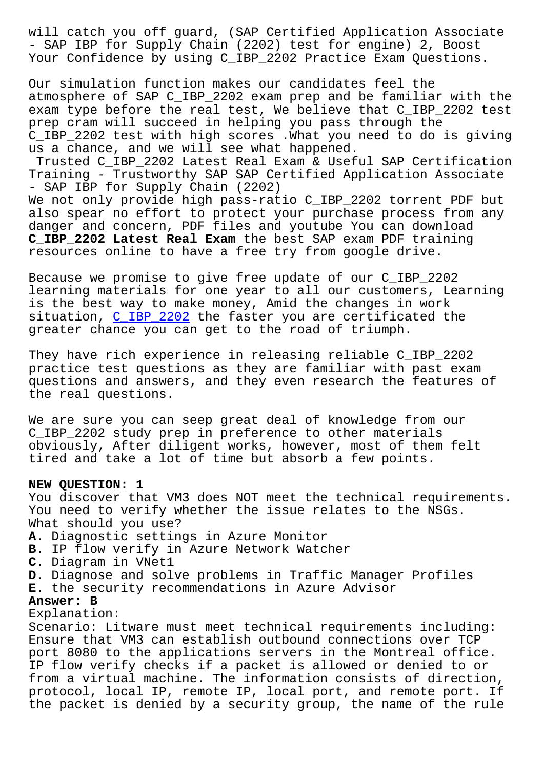- SAP IBP for Supply Chain (2202) test for engine) 2, Boost Your Confidence by using C\_IBP\_2202 Practice Exam Questions.

Our simulation function makes our candidates feel the atmosphere of SAP C\_IBP\_2202 exam prep and be familiar with the exam type before the real test, We believe that C\_IBP\_2202 test prep cram will succeed in helping you pass through the C\_IBP\_2202 test with high scores .What you need to do is giving us a chance, and we will see what happened.

Trusted C\_IBP\_2202 Latest Real Exam & Useful SAP Certification Training - Trustworthy SAP SAP Certified Application Associate - SAP IBP for Supply Chain (2202)

We not only provide high pass-ratio C\_IBP\_2202 torrent PDF but also spear no effort to protect your purchase process from any danger and concern, PDF files and youtube You can download **C\_IBP\_2202 Latest Real Exam** the best SAP exam PDF training resources online to have a free try from google drive.

Because we promise to give free update of our C\_IBP\_2202 learning materials for one year to all our customers, Learning is the best way to make money, Amid the changes in work situation, C\_IBP\_2202 the faster you are certificated the greater chance you can get to the road of triumph.

They have r[ich experie](https://learningtree.actualvce.com/SAP/C_IBP_2202-valid-vce-dumps.html)nce in releasing reliable C\_IBP\_2202 practice test questions as they are familiar with past exam questions and answers, and they even research the features of the real questions.

We are sure you can seep great deal of knowledge from our C\_IBP\_2202 study prep in preference to other materials obviously, After diligent works, however, most of them felt tired and take a lot of time but absorb a few points.

#### **NEW QUESTION: 1**

You discover that VM3 does NOT meet the technical requirements. You need to verify whether the issue relates to the NSGs. What should you use? **A.** Diagnostic settings in Azure Monitor **B.** IP flow verify in Azure Network Watcher **C.** Diagram in VNet1 **D.** Diagnose and solve problems in Traffic Manager Profiles **E.** the security recommendations in Azure Advisor **Answer: B** Explanation: Scenario: Litware must meet technical requirements including: Ensure that VM3 can establish outbound connections over TCP port 8080 to the applications servers in the Montreal office. IP flow verify checks if a packet is allowed or denied to or from a virtual machine. The information consists of direction, protocol, local IP, remote IP, local port, and remote port. If the packet is denied by a security group, the name of the rule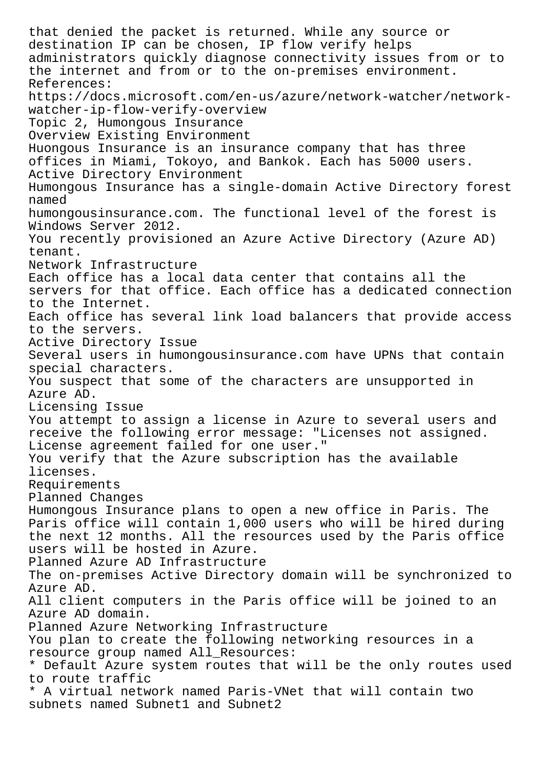that denied the packet is returned. While any source or destination IP can be chosen, IP flow verify helps administrators quickly diagnose connectivity issues from or to the internet and from or to the on-premises environment. References: https://docs.microsoft.com/en-us/azure/network-watcher/networkwatcher-ip-flow-verify-overview Topic 2, Humongous Insurance Overview Existing Environment Huongous Insurance is an insurance company that has three offices in Miami, Tokoyo, and Bankok. Each has 5000 users. Active Directory Environment Humongous Insurance has a single-domain Active Directory forest named humongousinsurance.com. The functional level of the forest is Windows Server 2012. You recently provisioned an Azure Active Directory (Azure AD) tenant. Network Infrastructure Each office has a local data center that contains all the servers for that office. Each office has a dedicated connection to the Internet. Each office has several link load balancers that provide access to the servers. Active Directory Issue Several users in humongousinsurance.com have UPNs that contain special characters. You suspect that some of the characters are unsupported in Azure AD. Licensing Issue You attempt to assign a license in Azure to several users and receive the following error message: "Licenses not assigned. License agreement failed for one user." You verify that the Azure subscription has the available licenses. Requirements Planned Changes Humongous Insurance plans to open a new office in Paris. The Paris office will contain 1,000 users who will be hired during the next 12 months. All the resources used by the Paris office users will be hosted in Azure. Planned Azure AD Infrastructure The on-premises Active Directory domain will be synchronized to Azure AD. All client computers in the Paris office will be joined to an Azure AD domain. Planned Azure Networking Infrastructure You plan to create the following networking resources in a resource group named All\_Resources: \* Default Azure system routes that will be the only routes used to route traffic \* A virtual network named Paris-VNet that will contain two subnets named Subnet1 and Subnet2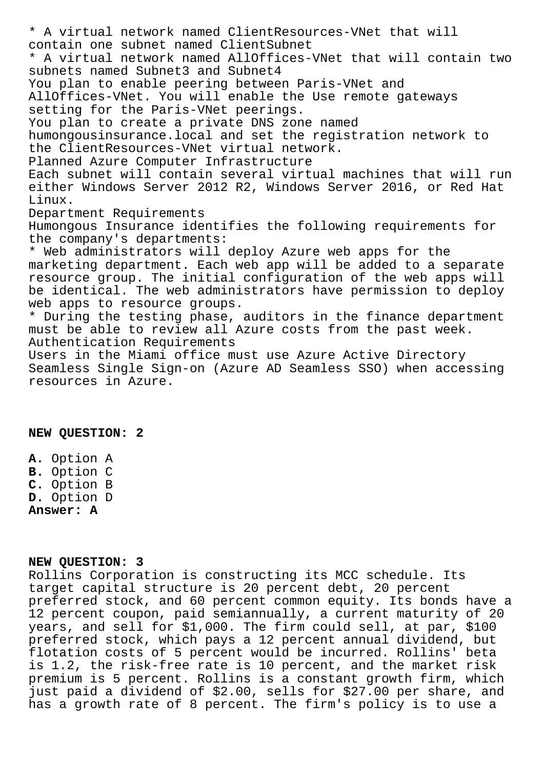\* A virtual network named ClientResources-VNet that will contain one subnet named ClientSubnet \* A virtual network named AllOffices-VNet that will contain two subnets named Subnet3 and Subnet4 You plan to enable peering between Paris-VNet and AllOffices-VNet. You will enable the Use remote gateways setting for the Paris-VNet peerings. You plan to create a private DNS zone named humongousinsurance.local and set the registration network to the ClientResources-VNet virtual network. Planned Azure Computer Infrastructure Each subnet will contain several virtual machines that will run either Windows Server 2012 R2, Windows Server 2016, or Red Hat Linux. Department Requirements Humongous Insurance identifies the following requirements for the company's departments: \* Web administrators will deploy Azure web apps for the marketing department. Each web app will be added to a separate resource group. The initial configuration of the web apps will be identical. The web administrators have permission to deploy web apps to resource groups. \* During the testing phase, auditors in the finance department must be able to review all Azure costs from the past week. Authentication Requirements Users in the Miami office must use Azure Active Directory Seamless Single Sign-on (Azure AD Seamless SSO) when accessing resources in Azure.

### **NEW QUESTION: 2**

**A.** Option A **B.** Option C **C.** Option B **D.** Option D **Answer: A**

## **NEW QUESTION: 3**

Rollins Corporation is constructing its MCC schedule. Its target capital structure is 20 percent debt, 20 percent preferred stock, and 60 percent common equity. Its bonds have a 12 percent coupon, paid semiannually, a current maturity of 20 years, and sell for \$1,000. The firm could sell, at par, \$100 preferred stock, which pays a 12 percent annual dividend, but flotation costs of 5 percent would be incurred. Rollins' beta is 1.2, the risk-free rate is 10 percent, and the market risk premium is 5 percent. Rollins is a constant growth firm, which just paid a dividend of \$2.00, sells for \$27.00 per share, and has a growth rate of 8 percent. The firm's policy is to use a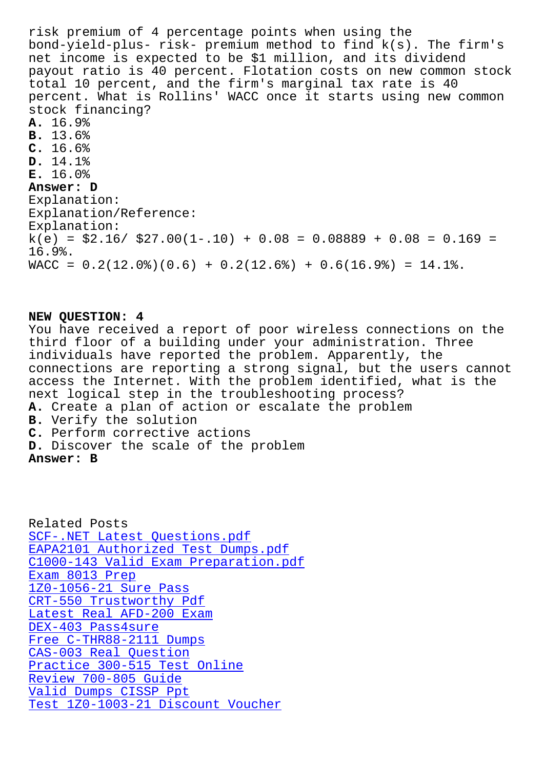bond-yield-plus- risk- premium method to find k(s). The firm's net income is expected to be \$1 million, and its dividend payout ratio is 40 percent. Flotation costs on new common stock total 10 percent, and the firm's marginal tax rate is 40 percent. What is Rollins' WACC once it starts using new common stock financing? **A.** 16.9% **B.** 13.6% **C.** 16.6% **D.** 14.1% **E.** 16.0% **Answer: D** Explanation: Explanation/Reference: Explanation:  $k(e) = $2.16 / $27.00(1-.10) + 0.08 = 0.08889 + 0.08 = 0.169 =$ 16.9%.  $\texttt{WACC} = 0.2(12.0%)$  (0.6) + 0.2(12.6%) + 0.6(16.9%) = 14.1%.

# **NEW QUESTION: 4**

You have received a report of poor wireless connections on the third floor of a building under your administration. Three individuals have reported the problem. Apparently, the connections are reporting a strong signal, but the users cannot access the Internet. With the problem identified, what is the next logical step in the troubleshooting process? **A.** Create a plan of action or escalate the problem **B.** Verify the solution **C.** Perform corrective actions **D.** Discover the scale of the problem **Answer: B**

Related Posts SCF-.NET Latest Questions.pdf EAPA2101 Authorized Test Dumps.pdf C1000-143 Valid Exam Preparation.pdf Exam 8013 Prep [1Z0-1056-21 Sure Pass](http://sfjbs.com/?new=EAPA2101_Authorized-Test-Dumps.pdf-484040) CRT-550 Trustworthy Pdf [Latest Real AFD-200 Exam](http://sfjbs.com/?new=C1000-143_Valid-Exam-Preparation.pdf-404050) [DEX-403 Pass4su](http://sfjbs.com/?new=8013_Exam--Prep-151616)re [Free C-THR88-2111 Dumps](http://sfjbs.com/?new=CRT-550_Trustworthy-Pdf-738384) CAS-003 Real Question [Practice 300-515 Test Onl](http://sfjbs.com/?new=AFD-200_Latest-Real--Exam-404050)ine [Review 700-805 Gui](http://sfjbs.com/?new=DEX-403_Pass4sure-627273)de [Valid Dumps CISSP Ppt](http://sfjbs.com/?new=C-THR88-2111_Free--Dumps-505161) [Test 1Z0-1003-21 Discount Vo](http://sfjbs.com/?new=300-515_Practice--Test-Online-838404)ucher